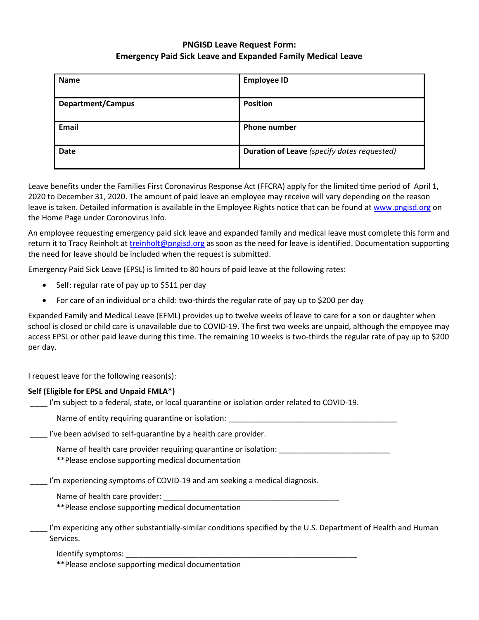# **PNGISD Leave Request Form: Emergency Paid Sick Leave and Expanded Family Medical Leave**

| <b>Employee ID</b>                          |
|---------------------------------------------|
| <b>Position</b>                             |
| <b>Phone number</b>                         |
| Duration of Leave (specify dates requested) |
|                                             |

Leave benefits under the Families First Coronavirus Response Act (FFCRA) apply for the limited time period of April 1, 2020 to December 31, 2020. The amount of paid leave an employee may receive will vary depending on the reason leave is taken. Detailed information is available in the Employee Rights notice that can be found a[t www.pngisd.org](http://www.pngisd.org/) on the Home Page under Coronovirus Info.

An employee requesting emergency paid sick leave and expanded family and medical leave must complete this form and return it to Tracy Reinholt a[t treinholt@pngisd.org](mailto:treinholt@pngisd.org) as soon as the need for leave is identified. Documentation supporting the need for leave should be included when the request is submitted.

Emergency Paid Sick Leave (EPSL) is limited to 80 hours of paid leave at the following rates:

- Self: regular rate of pay up to \$511 per day
- For care of an individual or a child: two-thirds the regular rate of pay up to \$200 per day

Expanded Family and Medical Leave (EFML) provides up to twelve weeks of leave to care for a son or daughter when school is closed or child care is unavailable due to COVID-19. The first two weeks are unpaid, although the empoyee may access EPSL or other paid leave during this time. The remaining 10 weeks is two-thirds the regular rate of pay up to \$200 per day.

I request leave for the following reason(s):

## **Self (Eligible for EPSL and Unpaid FMLA\*)**

I'm subject to a federal, state, or local quarantine or isolation order related to COVID-19.

Name of entity requiring quarantine or isolation:

\_\_\_\_ I've been advised to self-quarantine by a health care provider.

Name of health care provider requiring quarantine or isolation:

\*\*Please enclose supporting medical documentation

I'm experiencing symptoms of COVID-19 and am seeking a medical diagnosis.

Name of health care provider:

\*\*Please enclose supporting medical documentation

I'm expericing any other substantially-similar conditions specified by the U.S. Department of Health and Human Services.

Identify symptoms:

\*\*Please enclose supporting medical documentation